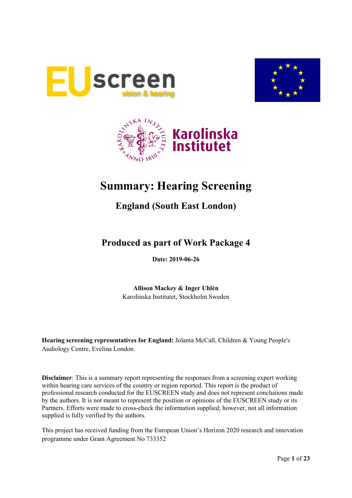





# **Summary: Hearing Screening**

## **England (South East London)**

## **Produced as part of Work Package 4**

**Date: 2019-06-26**

**Allison Mackey & Inger Uhlén** Karolinska Institutet, Stockholm Sweden

**Hearing screening representatives for England:** Jolanta McCall, Children & Young People's Audiology Centre, Evelina London.

**Disclaimer**: This is a summary report representing the responses from a screening expert working within hearing care services of the country or region reported. This report is the product of professional research conducted for the EUSCREEN study and does not represent conclusions made by the authors. It is not meant to represent the position or opinions of the EUSCREEN study or its Partners. Efforts were made to cross-check the information supplied; however, not all information supplied is fully verified by the authors.

This project has received funding from the European Union's Horizon 2020 research and innovation programme under Grant Agreement No 733352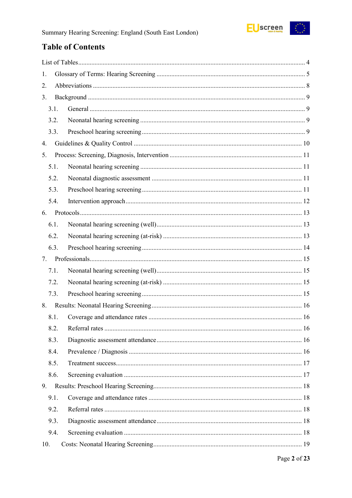

## **Table of Contents**

| 1.   |  |
|------|--|
| 2.   |  |
| 3.   |  |
| 3.1. |  |
| 3.2. |  |
| 3.3. |  |
| 4.   |  |
| 5.   |  |
| 5.1. |  |
| 5.2. |  |
| 5.3. |  |
| 5.4. |  |
| 6.   |  |
| 6.1. |  |
| 6.2. |  |
| 6.3. |  |
| 7.   |  |
| 7.1. |  |
| 7.2. |  |
| 7.3. |  |
| 8.   |  |
| 8.1. |  |
| 8.2. |  |
| 8.3. |  |
| 8.4. |  |
| 8.5. |  |
| 8.6. |  |
| 9.   |  |
| 9.1. |  |
| 9.2. |  |
| 9.3. |  |
| 9.4. |  |
| 10.  |  |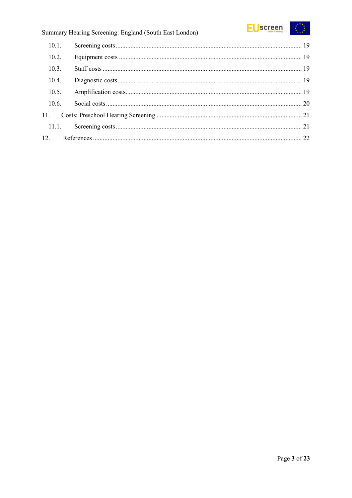

| 10.1. |  |
|-------|--|
| 10.2. |  |
| 10.3. |  |
| 10.4. |  |
| 10.5. |  |
| 10.6. |  |
|       |  |
|       |  |
|       |  |
|       |  |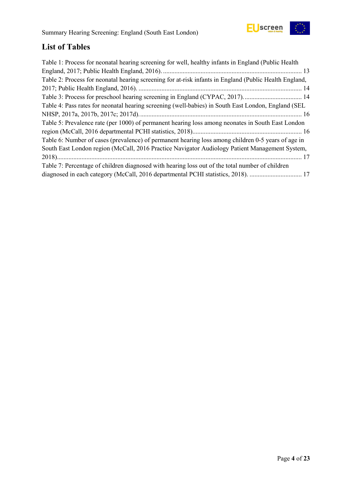

## <span id="page-3-0"></span>**List of Tables**

| Table 1: Process for neonatal hearing screening for well, healthy infants in England (Public Health    |
|--------------------------------------------------------------------------------------------------------|
|                                                                                                        |
| Table 2: Process for neonatal hearing screening for at-risk infants in England (Public Health England, |
|                                                                                                        |
| Table 3: Process for preschool hearing screening in England (CYPAC, 2017) 14                           |
| Table 4: Pass rates for neonatal hearing screening (well-babies) in South East London, England (SEL    |
|                                                                                                        |
| Table 5: Prevalence rate (per 1000) of permanent hearing loss among neonates in South East London      |
|                                                                                                        |
| Table 6: Number of cases (prevalence) of permanent hearing loss among children 0-5 years of age in     |
| South East London region (McCall, 2016 Practice Navigator Audiology Patient Management System,         |
|                                                                                                        |
| Table 7: Percentage of children diagnosed with hearing loss out of the total number of children        |
| diagnosed in each category (McCall, 2016 departmental PCHI statistics, 2018).  17                      |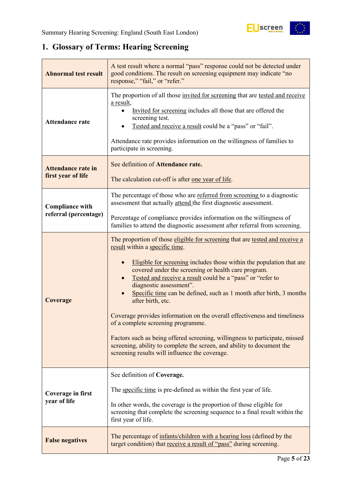## <span id="page-4-0"></span>**1. Glossary of Terms: Hearing Screening**

| <b>Abnormal test result</b>                     | A test result where a normal "pass" response could not be detected under<br>good conditions. The result on screening equipment may indicate "no<br>response," "fail," or "refer."                                                                                                                                                                                                                                                                                                                                                                                                                                                                                                                                                                                |  |  |  |
|-------------------------------------------------|------------------------------------------------------------------------------------------------------------------------------------------------------------------------------------------------------------------------------------------------------------------------------------------------------------------------------------------------------------------------------------------------------------------------------------------------------------------------------------------------------------------------------------------------------------------------------------------------------------------------------------------------------------------------------------------------------------------------------------------------------------------|--|--|--|
| <b>Attendance rate</b>                          | The proportion of all those invited for screening that are tested and receive<br>a result,<br>Invited for screening includes all those that are offered the<br>screening test.<br>Tested and receive a result could be a "pass" or "fail".<br>Attendance rate provides information on the willingness of families to<br>participate in screening.                                                                                                                                                                                                                                                                                                                                                                                                                |  |  |  |
| <b>Attendance rate in</b><br>first year of life | See definition of Attendance rate.<br>The calculation cut-off is after one year of life.                                                                                                                                                                                                                                                                                                                                                                                                                                                                                                                                                                                                                                                                         |  |  |  |
| <b>Compliance with</b>                          | The percentage of those who are referred from screening to a diagnostic<br>assessment that actually attend the first diagnostic assessment.                                                                                                                                                                                                                                                                                                                                                                                                                                                                                                                                                                                                                      |  |  |  |
| referral (percentage)                           | Percentage of compliance provides information on the willingness of<br>families to attend the diagnostic assessment after referral from screening.                                                                                                                                                                                                                                                                                                                                                                                                                                                                                                                                                                                                               |  |  |  |
| Coverage                                        | The proportion of those eligible for screening that are tested and receive a<br>result within a specific time.<br>Eligible for screening includes those within the population that are<br>covered under the screening or health care program.<br>Tested and receive a result could be a "pass" or "refer to<br>diagnostic assessment".<br>Specific time can be defined, such as 1 month after birth, 3 months<br>after birth, etc.<br>Coverage provides information on the overall effectiveness and timeliness<br>of a complete screening programme.<br>Factors such as being offered screening, willingness to participate, missed<br>screening, ability to complete the screen, and ability to document the<br>screening results will influence the coverage. |  |  |  |
| Coverage in first<br>year of life               | See definition of Coverage.<br>The specific time is pre-defined as within the first year of life.<br>In other words, the coverage is the proportion of those eligible for<br>screening that complete the screening sequence to a final result within the<br>first year of life.                                                                                                                                                                                                                                                                                                                                                                                                                                                                                  |  |  |  |
| <b>False negatives</b>                          | The percentage of infants/children with a hearing loss (defined by the<br>target condition) that receive a result of "pass" during screening.                                                                                                                                                                                                                                                                                                                                                                                                                                                                                                                                                                                                                    |  |  |  |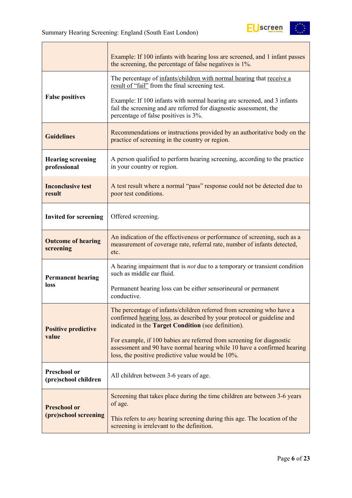

|                                             | Example: If 100 infants with hearing loss are screened, and 1 infant passes<br>the screening, the percentage of false negatives is 1%.                                                                 |  |  |  |
|---------------------------------------------|--------------------------------------------------------------------------------------------------------------------------------------------------------------------------------------------------------|--|--|--|
|                                             | The percentage of infants/children with normal hearing that receive a<br>result of "fail" from the final screening test.                                                                               |  |  |  |
| <b>False positives</b>                      | Example: If 100 infants with normal hearing are screened, and 3 infants<br>fail the screening and are referred for diagnostic assessment, the<br>percentage of false positives is 3%.                  |  |  |  |
| <b>Guidelines</b>                           | Recommendations or instructions provided by an authoritative body on the<br>practice of screening in the country or region.                                                                            |  |  |  |
| <b>Hearing screening</b><br>professional    | A person qualified to perform hearing screening, according to the practice<br>in your country or region.                                                                                               |  |  |  |
| <b>Inconclusive test</b><br>result          | A test result where a normal "pass" response could not be detected due to<br>poor test conditions.                                                                                                     |  |  |  |
| <b>Invited for screening</b>                | Offered screening.                                                                                                                                                                                     |  |  |  |
| <b>Outcome of hearing</b><br>screening      | An indication of the effectiveness or performance of screening, such as a<br>measurement of coverage rate, referral rate, number of infants detected,<br>etc.                                          |  |  |  |
| <b>Permanent hearing</b>                    | A hearing impairment that is <i>not</i> due to a temporary or transient condition<br>such as middle ear fluid.                                                                                         |  |  |  |
| loss                                        | Permanent hearing loss can be either sensorineural or permanent<br>conductive.                                                                                                                         |  |  |  |
| <b>Positive predictive</b>                  | The percentage of infants/children referred from screening who have a<br>confirmed hearing loss, as described by your protocol or guideline and<br>indicated in the Target Condition (see definition). |  |  |  |
| value                                       | For example, if 100 babies are referred from screening for diagnostic<br>assessment and 90 have normal hearing while 10 have a confirmed hearing<br>loss, the positive predictive value would be 10%.  |  |  |  |
| <b>Preschool or</b><br>(pre)school children | All children between 3-6 years of age.                                                                                                                                                                 |  |  |  |
| <b>Preschool or</b>                         | Screening that takes place during the time children are between 3-6 years<br>of age.                                                                                                                   |  |  |  |
| (pre)school screening                       | This refers to <i>any</i> hearing screening during this age. The location of the<br>screening is irrelevant to the definition.                                                                         |  |  |  |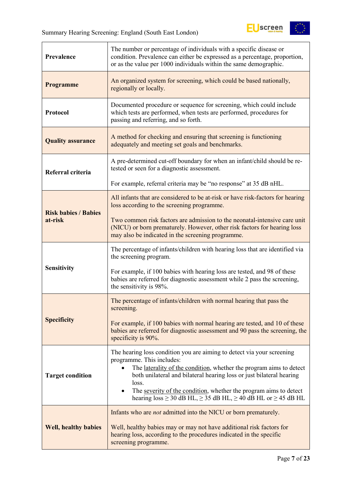$\overline{a}$ 



| Prevalence                  | The number or percentage of individuals with a specific disease or<br>condition. Prevalence can either be expressed as a percentage, proportion,<br>or as the value per 1000 individuals within the same demographic.                                                                                                                                                                                                          |  |  |  |  |
|-----------------------------|--------------------------------------------------------------------------------------------------------------------------------------------------------------------------------------------------------------------------------------------------------------------------------------------------------------------------------------------------------------------------------------------------------------------------------|--|--|--|--|
| <b>Programme</b>            | An organized system for screening, which could be based nationally,<br>regionally or locally.                                                                                                                                                                                                                                                                                                                                  |  |  |  |  |
| Protocol                    | Documented procedure or sequence for screening, which could include<br>which tests are performed, when tests are performed, procedures for<br>passing and referring, and so forth.                                                                                                                                                                                                                                             |  |  |  |  |
| <b>Quality assurance</b>    | A method for checking and ensuring that screening is functioning<br>adequately and meeting set goals and benchmarks.                                                                                                                                                                                                                                                                                                           |  |  |  |  |
| Referral criteria           | A pre-determined cut-off boundary for when an infant/child should be re-<br>tested or seen for a diagnostic assessment.                                                                                                                                                                                                                                                                                                        |  |  |  |  |
|                             | For example, referral criteria may be "no response" at 35 dB nHL.                                                                                                                                                                                                                                                                                                                                                              |  |  |  |  |
| <b>Risk babies / Babies</b> | All infants that are considered to be at-risk or have risk-factors for hearing<br>loss according to the screening programme.                                                                                                                                                                                                                                                                                                   |  |  |  |  |
| at-risk                     | Two common risk factors are admission to the neonatal-intensive care unit<br>(NICU) or born prematurely. However, other risk factors for hearing loss<br>may also be indicated in the screening programme.                                                                                                                                                                                                                     |  |  |  |  |
|                             | The percentage of infants/children with hearing loss that are identified via<br>the screening program.                                                                                                                                                                                                                                                                                                                         |  |  |  |  |
| <b>Sensitivity</b>          | For example, if 100 babies with hearing loss are tested, and 98 of these<br>babies are referred for diagnostic assessment while 2 pass the screening,<br>the sensitivity is 98%.                                                                                                                                                                                                                                               |  |  |  |  |
|                             | The percentage of infants/children with normal hearing that pass the<br>screening.                                                                                                                                                                                                                                                                                                                                             |  |  |  |  |
| <b>Specificity</b>          | For example, if 100 babies with normal hearing are tested, and 10 of these<br>babies are referred for diagnostic assessment and 90 pass the screening, the<br>specificity is 90%.                                                                                                                                                                                                                                              |  |  |  |  |
| <b>Target condition</b>     | The hearing loss condition you are aiming to detect via your screening<br>programme. This includes:<br>The laterality of the condition, whether the program aims to detect<br>both unilateral and bilateral hearing loss or just bilateral hearing<br>loss.<br>The severity of the condition, whether the program aims to detect<br>$\bullet$<br>hearing $loss \ge 30$ dB HL, $\ge 35$ dB HL, $\ge 40$ dB HL or $\ge 45$ dB HL |  |  |  |  |
| <b>Well, healthy babies</b> | Infants who are <i>not</i> admitted into the NICU or born prematurely.<br>Well, healthy babies may or may not have additional risk factors for<br>hearing loss, according to the procedures indicated in the specific<br>screening programme.                                                                                                                                                                                  |  |  |  |  |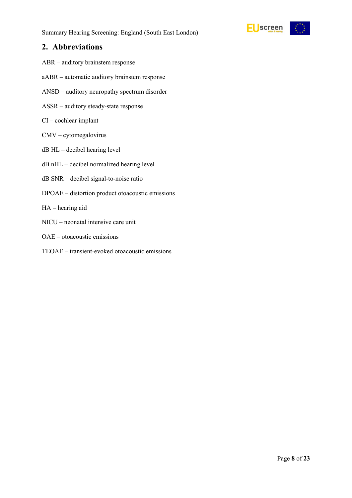

### <span id="page-7-0"></span>**2. Abbreviations**

- ABR auditory brainstem response
- aABR automatic auditory brainstem response
- ANSD auditory neuropathy spectrum disorder
- ASSR auditory steady-state response
- CI cochlear implant
- CMV cytomegalovirus
- dB HL decibel hearing level
- dB nHL decibel normalized hearing level
- dB SNR decibel signal-to-noise ratio
- DPOAE distortion product otoacoustic emissions
- HA hearing aid
- NICU neonatal intensive care unit
- OAE otoacoustic emissions
- TEOAE transient-evoked otoacoustic emissions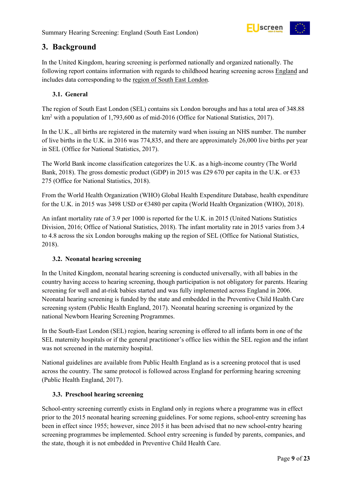

## <span id="page-8-0"></span>**3. Background**

In the United Kingdom, hearing screening is performed nationally and organized nationally. The following report contains information with regards to childhood hearing screening across England and includes data corresponding to the region of South East London.

#### <span id="page-8-1"></span>**3.1. General**

The region of South East London (SEL) contains six London boroughs and has a total area of 348.88 km2 with a population of 1,793,600 as of mid-2016 (Office for National Statistics, 2017).

In the U.K., all births are registered in the maternity ward when issuing an NHS number. The number of live births in the U.K. in 2016 was 774,835, and there are approximately 26,000 live births per year in SEL (Office for National Statistics, 2017).

The World Bank income classification categorizes the U.K. as a high-income country (The World Bank, 2018). The gross domestic product (GDP) in 2015 was £29 670 per capita in the U.K. or  $\epsilon$ 33 275 (Office for National Statistics, 2018).

From the World Health Organization (WHO) Global Health Expenditure Database, health expenditure for the U.K. in 2015 was 3498 USD or €3480 per capita (World Health Organization (WHO), 2018).

An infant mortality rate of 3.9 per 1000 is reported for the U.K. in 2015 (United Nations Statistics Division, 2016; Office of National Statistics, 2018). The infant mortality rate in 2015 varies from 3.4 to 4.8 across the six London boroughs making up the region of SEL (Office for National Statistics, 2018).

#### <span id="page-8-2"></span>**3.2. Neonatal hearing screening**

In the United Kingdom, neonatal hearing screening is conducted universally, with all babies in the country having access to hearing screening, though participation is not obligatory for parents. Hearing screening for well and at-risk babies started and was fully implemented across England in 2006. Neonatal hearing screening is funded by the state and embedded in the Preventive Child Health Care screening system (Public Health England, 2017). Neonatal hearing screening is organized by the national Newborn Hearing Screening Programmes.

In the South-East London (SEL) region, hearing screening is offered to all infants born in one of the SEL maternity hospitals or if the general practitioner's office lies within the SEL region and the infant was not screened in the maternity hospital.

National guidelines are available from Public Health England as is a screening protocol that is used across the country. The same protocol is followed across England for performing hearing screening (Public Health England, 2017).

#### <span id="page-8-3"></span>**3.3. Preschool hearing screening**

School-entry screening currently exists in England only in regions where a programme was in effect prior to the 2015 neonatal hearing screening guidelines. For some regions, school-entry screening has been in effect since 1955; however, since 2015 it has been advised that no new school-entry hearing screening programmes be implemented. School entry screening is funded by parents, companies, and the state, though it is not embedded in Preventive Child Health Care.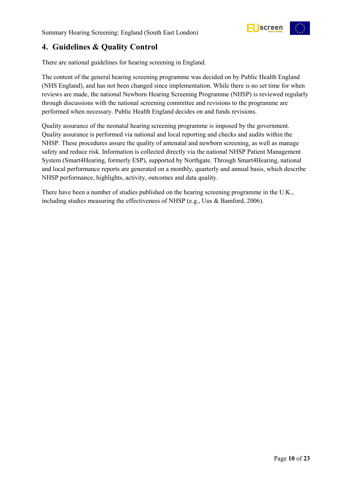

## <span id="page-9-0"></span>**4. Guidelines & Quality Control**

There are national guidelines for hearing screening in England.

The content of the general hearing screening programme was decided on by Public Health England (NHS England), and has not been changed since implementation. While there is no set time for when reviews are made, the national Newborn Hearing Screening Programme (NHSP) is reviewed regularly through discussions with the national screening committee and revisions to the programme are performed when necessary. Public Health England decides on and funds revisions.

Quality assurance of the neonatal hearing screening programme is imposed by the government. Quality assurance is performed via national and local reporting and checks and audits within the NHSP. These procedures assure the quality of antenatal and newborn screening, as well as manage safety and reduce risk. Information is collected directly via the national NHSP Patient Management System (Smart4Hearing, formerly ESP), supported by Northgate. Through Smart4Hearing, national and local performance reports are generated on a monthly, quarterly and annual basis, which describe NHSP performance, highlights, activity, outcomes and data quality.

There have been a number of studies published on the hearing screening programme in the U.K., including studies measuring the effectiveness of NHSP (e.g., Uus & Bamford, 2006).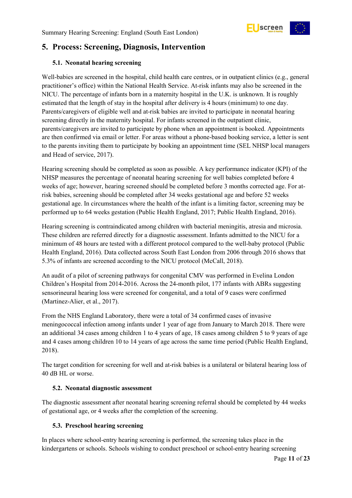

## <span id="page-10-0"></span>**5. Process: Screening, Diagnosis, Intervention**

#### <span id="page-10-1"></span>**5.1. Neonatal hearing screening**

Well-babies are screened in the hospital, child health care centres, or in outpatient clinics (e.g., general practitioner's office) within the National Health Service. At-risk infants may also be screened in the NICU. The percentage of infants born in a maternity hospital in the U.K. is unknown. It is roughly estimated that the length of stay in the hospital after delivery is 4 hours (minimum) to one day. Parents/caregivers of eligible well and at-risk babies are invited to participate in neonatal hearing screening directly in the maternity hospital. For infants screened in the outpatient clinic, parents/caregivers are invited to participate by phone when an appointment is booked. Appointments are then confirmed via email or letter. For areas without a phone-based booking service, a letter is sent to the parents inviting them to participate by booking an appointment time (SEL NHSP local managers and Head of service, 2017).

Hearing screening should be completed as soon as possible. A key performance indicator (KPI) of the NHSP measures the percentage of neonatal hearing screening for well babies completed before 4 weeks of age; however, hearing screened should be completed before 3 months corrected age. For atrisk babies, screening should be completed after 34 weeks gestational age and before 52 weeks gestational age. In circumstances where the health of the infant is a limiting factor, screening may be performed up to 64 weeks gestation (Public Health England, 2017; Public Health England, 2016).

Hearing screening is contraindicated among children with bacterial meningitis, atresia and microsia. These children are referred directly for a diagnostic assessment. Infants admitted to the NICU for a minimum of 48 hours are tested with a different protocol compared to the well-baby protocol (Public Health England, 2016). Data collected across South East London from 2006 through 2016 shows that 5.3% of infants are screened according to the NICU protocol (McCall, 2018).

An audit of a pilot of screening pathways for congenital CMV was performed in Evelina London Children's Hospital from 2014-2016. Across the 24-month pilot, 177 infants with ABRs suggesting sensorineural hearing loss were screened for congenital, and a total of 9 cases were confirmed (Martinez-Alier, et al., 2017).

From the NHS England Laboratory, there were a total of 34 confirmed cases of invasive meningococcal infection among infants under 1 year of age from January to March 2018. There were an additional 34 cases among children 1 to 4 years of age, 18 cases among children 5 to 9 years of age and 4 cases among children 10 to 14 years of age across the same time period (Public Health England, 2018).

The target condition for screening for well and at-risk babies is a unilateral or bilateral hearing loss of 40 dB HL or worse.

#### <span id="page-10-2"></span>**5.2. Neonatal diagnostic assessment**

The diagnostic assessment after neonatal hearing screening referral should be completed by 44 weeks of gestational age, or 4 weeks after the completion of the screening.

#### <span id="page-10-3"></span>**5.3. Preschool hearing screening**

In places where school-entry hearing screening is performed, the screening takes place in the kindergartens or schools. Schools wishing to conduct preschool or school-entry hearing screening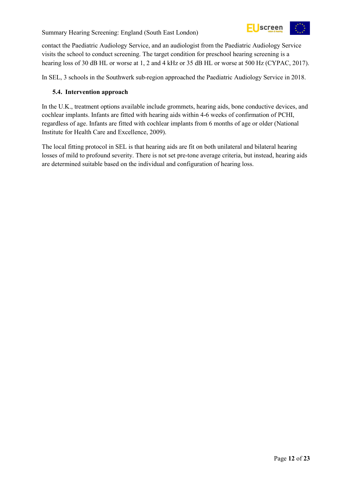

contact the Paediatric Audiology Service, and an audiologist from the Paediatric Audiology Service visits the school to conduct screening. The target condition for preschool hearing screening is a hearing loss of 30 dB HL or worse at 1, 2 and 4 kHz or 35 dB HL or worse at 500 Hz (CYPAC, 2017).

In SEL, 3 schools in the Southwerk sub-region approached the Paediatric Audiology Service in 2018.

#### <span id="page-11-0"></span>**5.4. Intervention approach**

In the U.K., treatment options available include grommets, hearing aids, bone conductive devices, and cochlear implants. Infants are fitted with hearing aids within 4-6 weeks of confirmation of PCHI, regardless of age. Infants are fitted with cochlear implants from 6 months of age or older (National Institute for Health Care and Excellence, 2009).

The local fitting protocol in SEL is that hearing aids are fit on both unilateral and bilateral hearing losses of mild to profound severity. There is not set pre-tone average criteria, but instead, hearing aids are determined suitable based on the individual and configuration of hearing loss.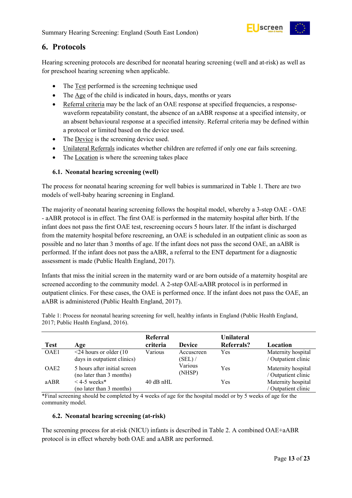

### <span id="page-12-0"></span>**6. Protocols**

Hearing screening protocols are described for neonatal hearing screening (well and at-risk) as well as for preschool hearing screening when applicable.

- The Test performed is the screening technique used
- The Age of the child is indicated in hours, days, months or years
- Referral criteria may be the lack of an OAE response at specified frequencies, a responsewaveform repeatability constant, the absence of an aABR response at a specified intensity, or an absent behavioural response at a specified intensity. Referral criteria may be defined within a protocol or limited based on the device used.
- The <u>Device</u> is the screening device used.
- Unilateral Referrals indicates whether children are referred if only one ear fails screening.
- The <u>Location</u> is where the screening takes place

#### <span id="page-12-1"></span>**6.1. Neonatal hearing screening (well)**

The process for neonatal hearing screening for well babies is summarized in Table 1. There are two models of well-baby hearing screening in England.

The majority of neonatal hearing screening follows the hospital model, whereby a 3-step OAE - OAE - aABR protocol is in effect. The first OAE is performed in the maternity hospital after birth. If the infant does not pass the first OAE test, rescreening occurs 5 hours later. If the infant is discharged from the maternity hospital before rescreening, an OAE is scheduled in an outpatient clinic as soon as possible and no later than 3 months of age. If the infant does not pass the second OAE, an aABR is performed. If the infant does not pass the aABR, a referral to the ENT department for a diagnostic assessment is made (Public Health England, 2017).

Infants that miss the initial screen in the maternity ward or are born outside of a maternity hospital are screened according to the community model. A 2-step OAE-aABR protocol is in performed in outpatient clinics. For these cases, the OAE is performed once. If the infant does not pass the OAE, an aABR is administered (Public Health England, 2017).

<span id="page-12-3"></span>Table 1: Process for neonatal hearing screening for well, healthy infants in England (Public Health England, 2017; Public Health England, 2016).

|                  |                                                          | Referral    |                   | <b>Unilateral</b> |                                           |
|------------------|----------------------------------------------------------|-------------|-------------------|-------------------|-------------------------------------------|
| <b>Test</b>      | Age                                                      | criteria    | <b>Device</b>     | Referrals?        | Location                                  |
| OAE1             | $\leq$ 24 hours or older (10                             | Various     | Accuscreen        | Yes               | Maternity hospital                        |
|                  | days in outpatient clinics)                              |             | (SEL) /           |                   | / Outpatient clinic                       |
| OAE <sub>2</sub> | 5 hours after initial screen<br>(no later than 3 months) |             | Various<br>(NHSP) | Yes               | Maternity hospital<br>/ Outpatient clinic |
| aABR             | $<$ 4-5 weeks*                                           | $40$ dB nHL |                   | Yes               | Maternity hospital                        |
|                  | (no later than 3 months)                                 |             |                   |                   | / Outpatient clinic                       |

\*Final screening should be completed by 4 weeks of age for the hospital model or by 5 weeks of age for the community model.

#### <span id="page-12-2"></span>**6.2. Neonatal hearing screening (at-risk)**

The screening process for at-risk (NICU) infants is described in Table 2. A combined OAE+aABR protocol is in effect whereby both OAE and aABR are performed.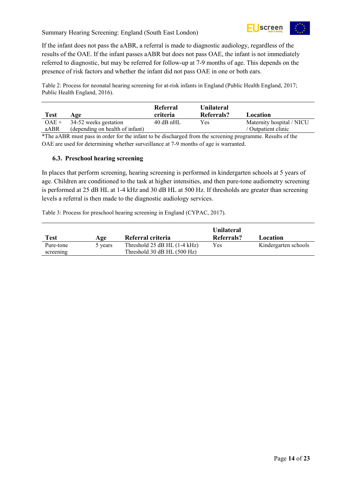

If the infant does not pass the aABR, a referral is made to diagnostic audiology, regardless of the results of the OAE. If the infant passes aABR but does not pass OAE, the infant is not immediately referred to diagnostic, but may be referred for follow-up at 7-9 months of age. This depends on the presence of risk factors and whether the infant did not pass OAE in one or both ears.

<span id="page-13-1"></span>Table 2: Process for neonatal hearing screening for at-risk infants in England (Public Health England, 2017; Public Health England, 2016).

| <b>Test</b> | Age                             | Referral<br>criteria | <b>Unilateral</b><br>Referrals? | Location                  |
|-------------|---------------------------------|----------------------|---------------------------------|---------------------------|
| $OAE +$     | 34-52 weeks gestation           | $40$ dB nHL          | Yes                             | Maternity hospital / NICU |
| aABR        | (depending on health of infant) |                      |                                 | / Outpatient clinic       |

\*The aABR must pass in order for the infant to be discharged from the screening programme. Results of the OAE are used for determining whether surveillance at 7-9 months of age is warranted.

#### <span id="page-13-0"></span>**6.3. Preschool hearing screening**

In places that perform screening, hearing screening is performed in kindergarten schools at 5 years of age. Children are conditioned to the task at higher intensities, and then pure-tone audiometry screening is performed at 25 dB HL at 1-4 kHz and 30 dB HL at 500 Hz. If thresholds are greater than screening levels a referral is then made to the diagnostic audiology services.

<span id="page-13-2"></span>Table 3: Process for preschool hearing screening in England (CYPAC, 2017).

| Test      | Age     | Referral criteria                | <b>Unilateral</b><br><b>Referrals?</b> | Location             |
|-----------|---------|----------------------------------|----------------------------------------|----------------------|
| Pure-tone | 5 years | Threshold $25$ dB HL $(1-4$ kHz) | Yes                                    | Kindergarten schools |
| screening |         | Threshold 30 dB HL (500 Hz)      |                                        |                      |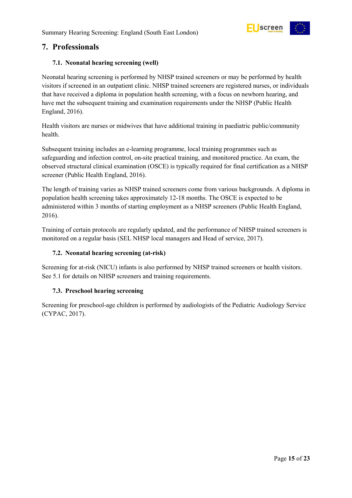

### <span id="page-14-0"></span>**7. Professionals**

#### <span id="page-14-1"></span>**7.1. Neonatal hearing screening (well)**

Neonatal hearing screening is performed by NHSP trained screeners or may be performed by health visitors if screened in an outpatient clinic. NHSP trained screeners are registered nurses, or individuals that have received a diploma in population health screening, with a focus on newborn hearing, and have met the subsequent training and examination requirements under the NHSP (Public Health England, 2016).

Health visitors are nurses or midwives that have additional training in paediatric public/community health.

Subsequent training includes an e-learning programme, local training programmes such as safeguarding and infection control, on-site practical training, and monitored practice. An exam, the observed structural clinical examination (OSCE) is typically required for final certification as a NHSP screener (Public Health England, 2016).

The length of training varies as NHSP trained screeners come from various backgrounds. A diploma in population health screening takes approximately 12-18 months. The OSCE is expected to be administered within 3 months of starting employment as a NHSP screeners (Public Health England, 2016).

Training of certain protocols are regularly updated, and the performance of NHSP trained screeners is monitored on a regular basis (SEL NHSP local managers and Head of service, 2017).

#### <span id="page-14-2"></span>**7.2. Neonatal hearing screening (at-risk)**

Screening for at-risk (NICU) infants is also performed by NHSP trained screeners or health visitors. See 5.1 for details on NHSP screeners and training requirements.

#### <span id="page-14-3"></span>**7.3. Preschool hearing screening**

Screening for preschool-age children is performed by audiologists of the Pediatric Audiology Service (CYPAC, 2017).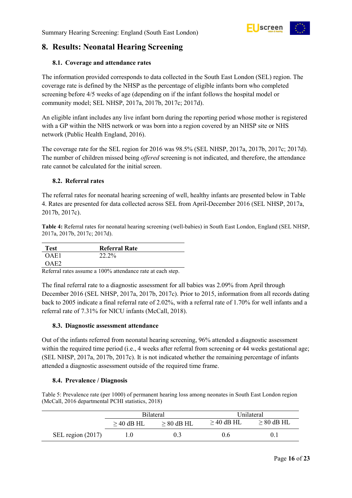

## <span id="page-15-0"></span>**8. Results: Neonatal Hearing Screening**

#### <span id="page-15-1"></span>**8.1. Coverage and attendance rates**

The information provided corresponds to data collected in the South East London (SEL) region. The coverage rate is defined by the NHSP as the percentage of eligible infants born who completed screening before 4/5 weeks of age (depending on if the infant follows the hospital model or community model; SEL NHSP, 2017a, 2017b, 2017c; 2017d).

An eligible infant includes any live infant born during the reporting period whose mother is registered with a GP within the NHS network or was born into a region covered by an NHSP site or NHS network (Public Health England, 2016).

The coverage rate for the SEL region for 2016 was 98.5% (SEL NHSP, 2017a, 2017b, 2017c; 2017d). The number of children missed being *offered* screening is not indicated, and therefore, the attendance rate cannot be calculated for the initial screen.

#### <span id="page-15-2"></span>**8.2. Referral rates**

The referral rates for neonatal hearing screening of well, healthy infants are presented below in Table 4. Rates are presented for data collected across SEL from April-December 2016 (SEL NHSP, 2017a, 2017b, 2017c).

<span id="page-15-5"></span>**Table 4:** Referral rates for neonatal hearing screening (well-babies) in South East London, England (SEL NHSP, 2017a, 2017b, 2017c; 2017d).

| Test | <b>Referral Rate</b> |
|------|----------------------|
| OAE1 | 22.2%                |
| OAF2 |                      |

Referral rates assume a 100% attendance rate at each step.

The final referral rate to a diagnostic assessment for all babies was 2.09% from April through December 2016 (SEL NHSP, 2017a, 2017b, 2017c). Prior to 2015, information from all records dating back to 2005 indicate a final referral rate of 2.02%, with a referral rate of 1.70% for well infants and a referral rate of 7.31% for NICU infants (McCall, 2018).

#### <span id="page-15-3"></span>**8.3. Diagnostic assessment attendance**

Out of the infants referred from neonatal hearing screening, 96% attended a diagnostic assessment within the required time period (i.e., 4 weeks after referral from screening or 44 weeks gestational age; (SEL NHSP, 2017a, 2017b, 2017c). It is not indicated whether the remaining percentage of infants attended a diagnostic assessment outside of the required time frame.

#### <span id="page-15-4"></span>**8.4. Prevalence / Diagnosis**

<span id="page-15-6"></span>Table 5: Prevalence rate (per 1000) of permanent hearing loss among neonates in South East London region (McCall, 2016 departmental PCHI statistics, 2018)

|                     |                                    | <b>Bilateral</b> | Unilateral      |                 |  |
|---------------------|------------------------------------|------------------|-----------------|-----------------|--|
|                     | $\geq$ 40 dB HL<br>$\geq 80$ dB HL |                  | $\geq$ 40 dB HL | $\geq 80$ dB HL |  |
| SEL region $(2017)$ |                                    | 0.3 <sub>1</sub> | 0.6             |                 |  |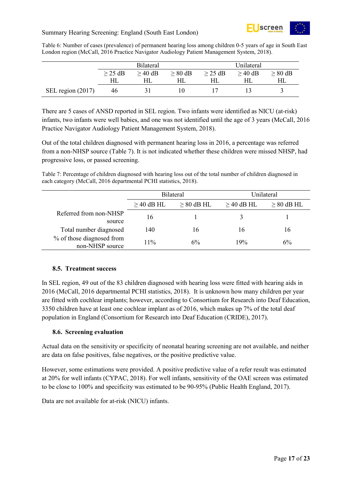

<span id="page-16-2"></span>Table 6: Number of cases (prevalence) of permanent hearing loss among children 0-5 years of age in South East London region (McCall, 2016 Practice Navigator Audiology Patient Management System, 2018).

|                   | <b>Bilateral</b> |           | Unilateral   |              |              |              |
|-------------------|------------------|-----------|--------------|--------------|--------------|--------------|
|                   | $\geq$ 25 dB     | $>$ 40 dB | $\geq 80$ dB | $\geq$ 25 dB | $\geq$ 40 dB | $\geq 80$ dB |
|                   | HІ               |           |              |              |              | HL           |
| SEL region (2017) | 46               |           |              |              |              |              |

There are 5 cases of ANSD reported in SEL region. Two infants were identified as NICU (at-risk) infants, two infants were well babies, and one was not identified until the age of 3 years (McCall, 2016 Practice Navigator Audiology Patient Management System, 2018).

Out of the total children diagnosed with permanent hearing loss in 2016, a percentage was referred from a non-NHSP source (Table 7). It is not indicated whether these children were missed NHSP, had progressive loss, or passed screening.

<span id="page-16-3"></span>Table 7: Percentage of children diagnosed with hearing loss out of the total number of children diagnosed in each category (McCall, 2016 departmental PCHI statistics, 2018).

|                                              | <b>Bilateral</b> |                 | Hnilateral      |                 |
|----------------------------------------------|------------------|-----------------|-----------------|-----------------|
|                                              | $\geq$ 40 dB HL  | $\geq 80$ dB HL | $\geq$ 40 dB HL | $\geq 80$ dB HL |
| Referred from non-NHSP<br>source             | 16               |                 |                 |                 |
| Total number diagnosed                       | 140              | 16              | 16              | 16              |
| % of those diagnosed from<br>non-NHSP source | 11%              | 6%              | 19%             | 6%              |

#### <span id="page-16-0"></span>**8.5. Treatment success**

In SEL region, 49 out of the 83 children diagnosed with hearing loss were fitted with hearing aids in 2016 (McCall, 2016 departmental PCHI statistics, 2018). It is unknown how many children per year are fitted with cochlear implants; however, according to Consortium for Research into Deaf Education, 3350 children have at least one cochlear implant as of 2016, which makes up 7% of the total deaf population in England (Consortium for Research into Deaf Education (CRIDE), 2017).

#### <span id="page-16-1"></span>**8.6. Screening evaluation**

Actual data on the sensitivity or specificity of neonatal hearing screening are not available, and neither are data on false positives, false negatives, or the positive predictive value.

However, some estimations were provided. A positive predictive value of a refer result was estimated at 20% for well infants (CYPAC, 2018). For well infants, sensitivity of the OAE screen was estimated to be close to 100% and specificity was estimated to be 90-95% (Public Health England, 2017).

Data are not available for at-risk (NICU) infants.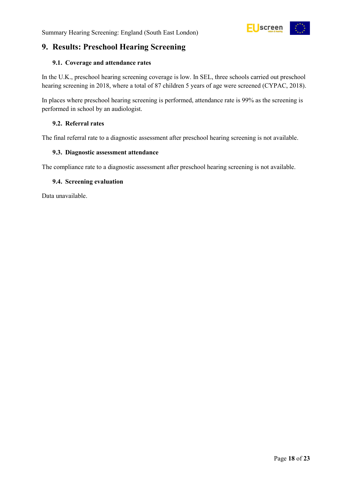## <span id="page-17-0"></span>**9. Results: Preschool Hearing Screening**

#### <span id="page-17-1"></span>**9.1. Coverage and attendance rates**

In the U.K., preschool hearing screening coverage is low. In SEL, three schools carried out preschool hearing screening in 2018, where a total of 87 children 5 years of age were screened (CYPAC, 2018).

In places where preschool hearing screening is performed, attendance rate is 99% as the screening is performed in school by an audiologist.

#### <span id="page-17-2"></span>**9.2. Referral rates**

The final referral rate to a diagnostic assessment after preschool hearing screening is not available.

#### <span id="page-17-3"></span>**9.3. Diagnostic assessment attendance**

The compliance rate to a diagnostic assessment after preschool hearing screening is not available.

#### <span id="page-17-4"></span>**9.4. Screening evaluation**

Data unavailable.

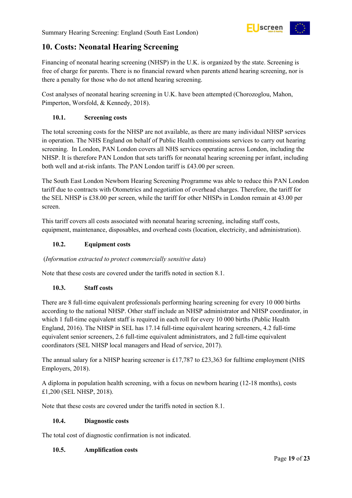

## <span id="page-18-0"></span>**10. Costs: Neonatal Hearing Screening**

Financing of neonatal hearing screening (NHSP) in the U.K. is organized by the state. Screening is free of charge for parents. There is no financial reward when parents attend hearing screening, nor is there a penalty for those who do not attend hearing screening.

Cost analyses of neonatal hearing screening in U.K. have been attempted (Chorozoglou, Mahon, Pimperton, Worsfold, & Kennedy, 2018).

#### <span id="page-18-1"></span>**10.1. Screening costs**

The total screening costs for the NHSP are not available, as there are many individual NHSP services in operation. The NHS England on behalf of Public Health commissions services to carry out hearing screening. In London, PAN London covers all NHS services operating across London, including the NHSP. It is therefore PAN London that sets tariffs for neonatal hearing screening per infant, including both well and at-risk infants. The PAN London tariff is £43.00 per screen.

The South East London Newborn Hearing Screening Programme was able to reduce this PAN London tariff due to contracts with Otometrics and negotiation of overhead charges. Therefore, the tariff for the SEL NHSP is £38.00 per screen, while the tariff for other NHSPs in London remain at 43.00 per screen.

This tariff covers all costs associated with neonatal hearing screening, including staff costs, equipment, maintenance, disposables, and overhead costs (location, electricity, and administration).

#### <span id="page-18-2"></span>**10.2. Equipment costs**

#### (*Information extracted to protect commercially sensitive data*)

Note that these costs are covered under the tariffs noted in section 8.1.

#### <span id="page-18-3"></span>**10.3. Staff costs**

There are 8 full-time equivalent professionals performing hearing screening for every 10 000 births according to the national NHSP. Other staff include an NHSP administrator and NHSP coordinator, in which 1 full-time equivalent staff is required in each roll for every 10 000 births (Public Health England, 2016). The NHSP in SEL has 17.14 full-time equivalent hearing screeners, 4.2 full-time equivalent senior screeners, 2.6 full-time equivalent administrators, and 2 full-time equivalent coordinators (SEL NHSP local managers and Head of service, 2017).

The annual salary for a NHSP hearing screener is £17,787 to £23,363 for fulltime employment (NHS Employers, 2018).

A diploma in population health screening, with a focus on newborn hearing (12-18 months), costs £1,200 (SEL NHSP, 2018).

Note that these costs are covered under the tariffs noted in section 8.1.

#### <span id="page-18-4"></span>**10.4. Diagnostic costs**

The total cost of diagnostic confirmation is not indicated.

#### <span id="page-18-5"></span>**10.5. Amplification costs**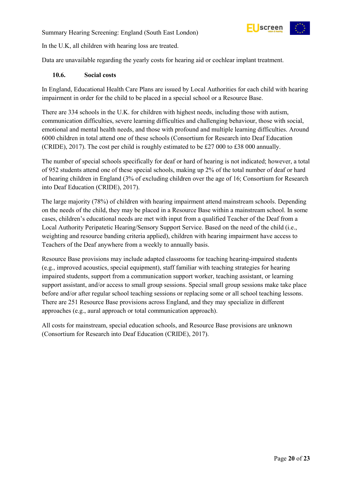

In the U.K, all children with hearing loss are treated.

Data are unavailable regarding the yearly costs for hearing aid or cochlear implant treatment.

#### <span id="page-19-0"></span>**10.6. Social costs**

In England, Educational Health Care Plans are issued by Local Authorities for each child with hearing impairment in order for the child to be placed in a special school or a Resource Base.

There are 334 schools in the U.K. for children with highest needs, including those with autism, communication difficulties, severe learning difficulties and challenging behaviour, those with social, emotional and mental health needs, and those with profound and multiple learning difficulties. Around 6000 children in total attend one of these schools (Consortium for Research into Deaf Education (CRIDE), 2017). The cost per child is roughly estimated to be £27 000 to £38 000 annually.

The number of special schools specifically for deaf or hard of hearing is not indicated; however, a total of 952 students attend one of these special schools, making up 2% of the total number of deaf or hard of hearing children in England (3% of excluding children over the age of 16; Consortium for Research into Deaf Education (CRIDE), 2017).

The large majority (78%) of children with hearing impairment attend mainstream schools. Depending on the needs of the child, they may be placed in a Resource Base within a mainstream school. In some cases, children's educational needs are met with input from a qualified Teacher of the Deaf from a Local Authority Peripatetic Hearing/Sensory Support Service. Based on the need of the child (i.e., weighting and resource banding criteria applied), children with hearing impairment have access to Teachers of the Deaf anywhere from a weekly to annually basis.

Resource Base provisions may include adapted classrooms for teaching hearing-impaired students (e.g., improved acoustics, special equipment), staff familiar with teaching strategies for hearing impaired students, support from a communication support worker, teaching assistant, or learning support assistant, and/or access to small group sessions. Special small group sessions make take place before and/or after regular school teaching sessions or replacing some or all school teaching lessons. There are 251 Resource Base provisions across England, and they may specialize in different approaches (e.g., aural approach or total communication approach).

All costs for mainstream, special education schools, and Resource Base provisions are unknown (Consortium for Research into Deaf Education (CRIDE), 2017).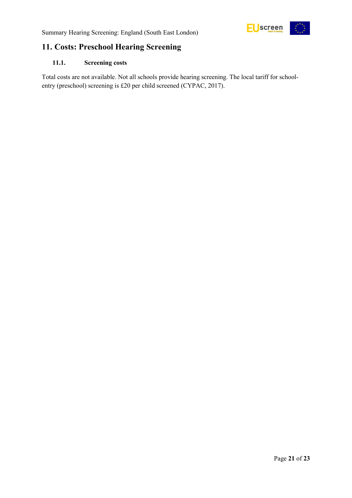

## <span id="page-20-0"></span>**11. Costs: Preschool Hearing Screening**

#### <span id="page-20-1"></span>**11.1. Screening costs**

Total costs are not available. Not all schools provide hearing screening. The local tariff for schoolentry (preschool) screening is £20 per child screened (CYPAC, 2017).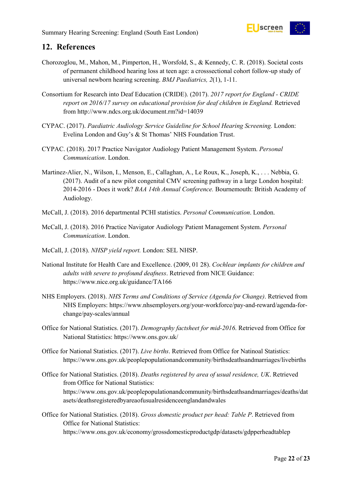

## <span id="page-21-0"></span>**12. References**

- Chorozoglou, M., Mahon, M., Pimperton, H., Worsfold, S., & Kennedy, C. R. (2018). Societal costs of permanent childhood hearing loss at teen age: a crosssectional cohort follow-up study of universal newborn hearing screening. *BMJ Paediatrics, 2*(1), 1-11.
- Consortium for Research into Deaf Education (CRIDE). (2017). *2017 report for England - CRIDE report on 2016/17 survey on educational provision for deaf children in England.* Retrieved from http://www.ndcs.org.uk/document.rm?id=14039
- CYPAC. (2017). *Paediatric Audiology Service Guideline for School Hearing Screening.* London: Evelina London and Guy's & St Thomas' NHS Foundation Trust.
- CYPAC. (2018). 2017 Practice Navigator Audiology Patient Management System. *Personal Communication*. London.
- Martinez-Alier, N., Wilson, I., Menson, E., Callaghan, A., Le Roux, K., Joseph, K., . . . Nebbia, G. (2017). Audit of a new pilot congenital CMV screening pathway in a large London hospital: 2014-2016 - Does it work? *BAA 14th Annual Conference.* Bournemouth: British Academy of Audiology.
- McCall, J. (2018). 2016 departmental PCHI statistics. *Personal Communication*. London.
- McCall, J. (2018). 2016 Practice Navigator Audiology Patient Management System. *Personal Communication*. London.
- McCall, J. (2018). *NHSP yield report.* London: SEL NHSP.
- National Institute for Health Care and Excellence. (2009, 01 28). *Cochlear implants for children and adults with severe to profound deafness*. Retrieved from NICE Guidance: https://www.nice.org.uk/guidance/TA166
- NHS Employers. (2018). *NHS Terms and Conditions of Service (Agenda for Change)*. Retrieved from NHS Employers: https://www.nhsemployers.org/your-workforce/pay-and-reward/agenda-forchange/pay-scales/annual
- Office for National Statistics. (2017). *Demography factsheet for mid-2016*. Retrieved from Office for National Statistics: https://www.ons.gov.uk/
- Office for National Statistics. (2017). *Live births*. Retrieved from Office for Natinoal Statistics: https://www.ons.gov.uk/peoplepopulationandcommunity/birthsdeathsandmarriages/livebirths
- Office for National Statistics. (2018). *Deaths registered by area of usual residence, UK*. Retrieved from Office for National Statistics: https://www.ons.gov.uk/peoplepopulationandcommunity/birthsdeathsandmarriages/deaths/dat asets/deathsregisteredbyareaofusualresidenceenglandandwales
- Office for National Statistics. (2018). *Gross domestic product per head: Table P*. Retrieved from Office for National Statistics: https://www.ons.gov.uk/economy/grossdomesticproductgdp/datasets/gdpperheadtablep